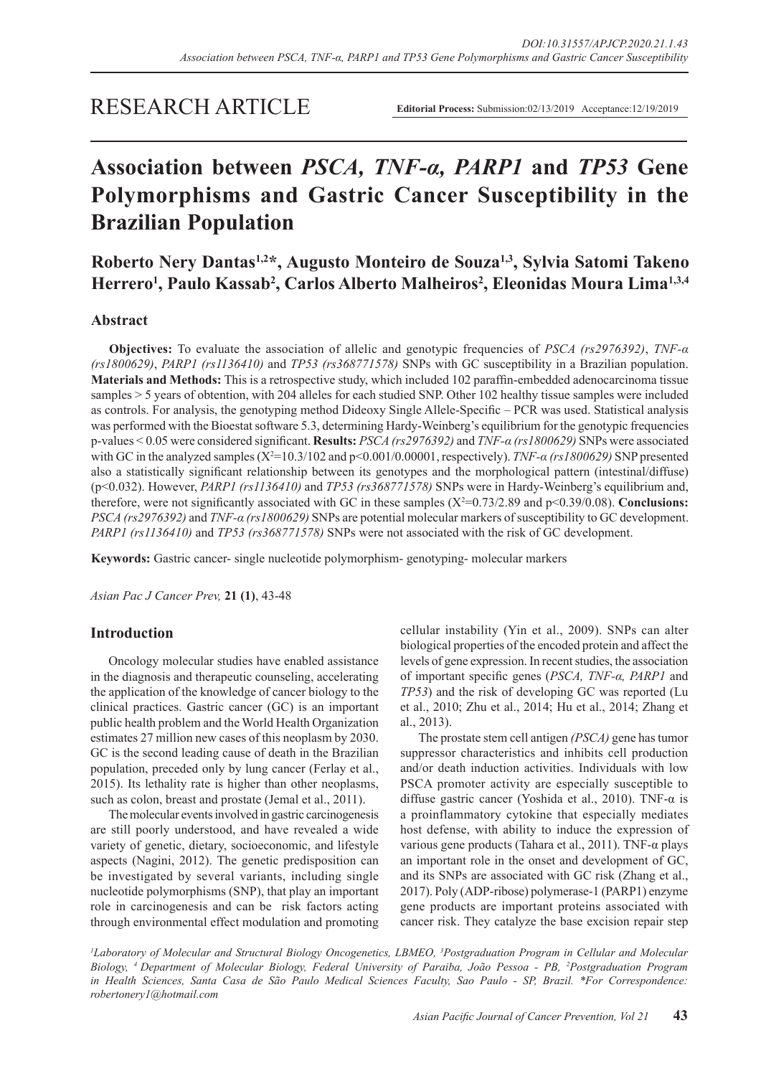## RESEARCH ARTICLE

# **Association between** *PSCA, TNF-α, PARP1* **and** *TP53* **Gene Polymorphisms and Gastric Cancer Susceptibility in the Brazilian Population**

**Roberto Nery Dantas1,2\*, Augusto Monteiro de Souza1,3, Sylvia Satomi Takeno Herrero1 , Paulo Kassab2 , Carlos Alberto Malheiros2 , Eleonidas Moura Lima1,3,4**

#### **Abstract**

**Objectives:** To evaluate the association of allelic and genotypic frequencies of *PSCA (rs2976392)*, *TNF-α (rs1800629)*, *PARP1 (rs1136410)* and *TP53 (rs368771578)* SNPs with GC susceptibility in a Brazilian population. **Materials and Methods:** This is a retrospective study, which included 102 paraffin-embedded adenocarcinoma tissue samples > 5 years of obtention, with 204 alleles for each studied SNP. Other 102 healthy tissue samples were included as controls. For analysis, the genotyping method Dideoxy Single Allele-Specific – PCR was used. Statistical analysis was performed with the Bioestat software 5.3, determining Hardy-Weinberg's equilibrium for the genotypic frequencies p-values < 0.05 were considered significant. **Results:** *PSCA (rs2976392)* and *TNF-α (rs1800629)* SNPs were associated with GC in the analyzed samples  $(X^2=10.3/102$  and  $p<0.001/0.00001$ , respectively). *TNF-a* (rs1800629) SNP presented also a statistically significant relationship between its genotypes and the morphological pattern (intestinal/diffuse) (p<0.032). However, *PARP1 (rs1136410)* and *TP53 (rs368771578)* SNPs were in Hardy-Weinberg's equilibrium and, therefore, were not significantly associated with GC in these samples  $(X^2=0.73/2.89$  and  $p<0.39/0.08)$ . **Conclusions:** *PSCA (rs2976392)* and *TNF-α (rs1800629)* SNPs are potential molecular markers of susceptibility to GC development. *PARP1 (rs1136410)* and *TP53 (rs368771578)* SNPs were not associated with the risk of GC development.

**Keywords:** Gastric cancer- single nucleotide polymorphism- genotyping- molecular markers

*Asian Pac J Cancer Prev,* **21 (1)**, 43-48

#### **Introduction**

Oncology molecular studies have enabled assistance in the diagnosis and therapeutic counseling, accelerating the application of the knowledge of cancer biology to the clinical practices. Gastric cancer (GC) is an important public health problem and the World Health Organization estimates 27 million new cases of this neoplasm by 2030. GC is the second leading cause of death in the Brazilian population, preceded only by lung cancer (Ferlay et al., 2015). Its lethality rate is higher than other neoplasms, such as colon, breast and prostate (Jemal et al., 2011).

The molecular events involved in gastric carcinogenesis are still poorly understood, and have revealed a wide variety of genetic, dietary, socioeconomic, and lifestyle aspects (Nagini, 2012). The genetic predisposition can be investigated by several variants, including single nucleotide polymorphisms (SNP), that play an important role in carcinogenesis and can be risk factors acting through environmental effect modulation and promoting cellular instability (Yin et al., 2009). SNPs can alter biological properties of the encoded protein and affect the levels of gene expression. In recent studies, the association of important specific genes (*PSCA, TNF-α, PARP1* and *TP53*) and the risk of developing GC was reported (Lu et al., 2010; Zhu et al., 2014; Hu et al., 2014; Zhang et al., 2013).

The prostate stem cell antigen *(PSCA)* gene has tumor suppressor characteristics and inhibits cell production and/or death induction activities. Individuals with low PSCA promoter activity are especially susceptible to diffuse gastric cancer (Yoshida et al., 2010). TNF- $\alpha$  is a proinflammatory cytokine that especially mediates host defense, with ability to induce the expression of various gene products (Tahara et al., 2011). TNF-α plays an important role in the onset and development of GC, and its SNPs are associated with GC risk (Zhang et al., 2017). Poly (ADP-ribose) polymerase-1 (PARP1) enzyme gene products are important proteins associated with cancer risk. They catalyze the base excision repair step

<sup>1</sup>Laboratory of Molecular and Structural Biology Oncogenetics, LBMEO, <sup>3</sup>Postgraduation Program in Cellular and Molecular *Biology, 4 Department of Molecular Biology, Federal University of Paraiba, João Pessoa - PB, 2 Postgraduation Program in Health Sciences, Santa Casa de São Paulo Medical Sciences Faculty, Sao Paulo - SP, Brazil. \*For Correspondence: robertonery1@hotmail.com*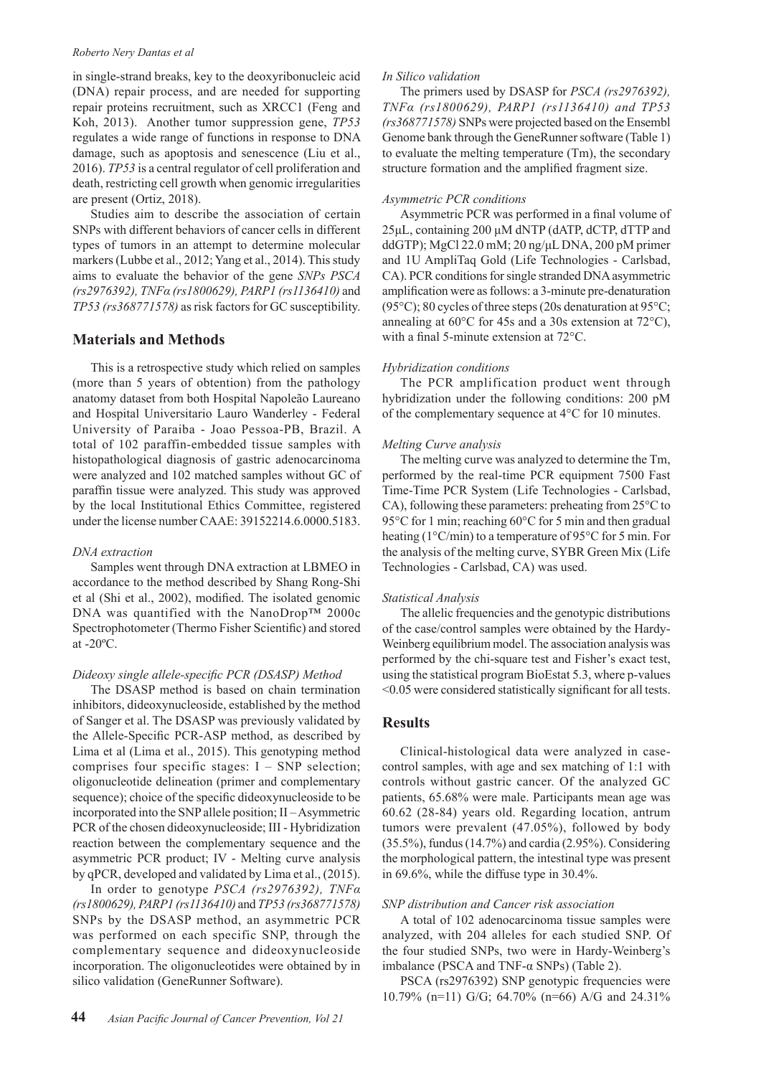#### *Roberto Nery Dantas et al*

in single-strand breaks, key to the deoxyribonucleic acid (DNA) repair process, and are needed for supporting repair proteins recruitment, such as XRCC1 (Feng and Koh, 2013). Another tumor suppression gene, *TP53*  regulates a wide range of functions in response to DNA damage, such as apoptosis and senescence (Liu et al., 2016). *TP53* is a central regulator of cell proliferation and death, restricting cell growth when genomic irregularities are present (Ortiz, 2018).

Studies aim to describe the association of certain SNPs with different behaviors of cancer cells in different types of tumors in an attempt to determine molecular markers (Lubbe et al., 2012; Yang et al., 2014). This study aims to evaluate the behavior of the gene *SNPs PSCA (rs2976392), TNFα (rs1800629), PARP1 (rs1136410)* and *TP53 (rs368771578)* as risk factors for GC susceptibility.

#### **Materials and Methods**

This is a retrospective study which relied on samples (more than 5 years of obtention) from the pathology anatomy dataset from both Hospital Napoleão Laureano and Hospital Universitario Lauro Wanderley - Federal University of Paraiba - Joao Pessoa-PB, Brazil. A total of 102 paraffin-embedded tissue samples with histopathological diagnosis of gastric adenocarcinoma were analyzed and 102 matched samples without GC of paraffin tissue were analyzed. This study was approved by the local Institutional Ethics Committee, registered under the license number CAAE: 39152214.6.0000.5183.

#### *DNA extraction*

Samples went through DNA extraction at LBMEO in accordance to the method described by Shang Rong-Shi et al (Shi et al., 2002), modified. The isolated genomic DNA was quantified with the NanoDrop™ 2000c Spectrophotometer (Thermo Fisher Scientific) and stored at  $-20^{\circ}$ C.

#### *Dideoxy single allele-specific PCR (DSASP) Method*

The DSASP method is based on chain termination inhibitors, dideoxynucleoside, established by the method of Sanger et al. The DSASP was previously validated by the Allele-Specific PCR-ASP method, as described by Lima et al (Lima et al., 2015). This genotyping method comprises four specific stages:  $I - SNP$  selection; oligonucleotide delineation (primer and complementary sequence); choice of the specific dideoxynucleoside to be incorporated into the SNP allele position; II – Asymmetric PCR of the chosen dideoxynucleoside; III - Hybridization reaction between the complementary sequence and the asymmetric PCR product; IV - Melting curve analysis by qPCR, developed and validated by Lima et al., (2015).

In order to genotype *PSCA (rs2976392), TNFα (rs1800629), PARP1 (rs1136410)* and *TP53 (rs368771578)*  SNPs by the DSASP method, an asymmetric PCR was performed on each specific SNP, through the complementary sequence and dideoxynucleoside incorporation. The oligonucleotides were obtained by in silico validation (GeneRunner Software).

#### *In Silico validation*

The primers used by DSASP for *PSCA (rs2976392), TNFα (rs1800629), PARP1 (rs1136410) and TP53 (rs368771578)* SNPs were projected based on the Ensembl Genome bank through the GeneRunner software (Table 1) to evaluate the melting temperature (Tm), the secondary structure formation and the amplified fragment size.

#### *Asymmetric PCR conditions*

Asymmetric PCR was performed in a final volume of 25μL, containing 200 μM dNTP (dATP, dCTP, dTTP and ddGTP); MgCl 22.0 mM; 20 ng/μL DNA, 200 pM primer and 1U AmpliTaq Gold (Life Technologies - Carlsbad, CA). PCR conditions for single stranded DNA asymmetric amplification were as follows: a 3-minute pre-denaturation (95 $\degree$ C); 80 cycles of three steps (20s denaturation at 95 $\degree$ C; annealing at 60°C for 45s and a 30s extension at 72°C), with a final 5-minute extension at 72°C.

#### *Hybridization conditions*

The PCR amplification product went through hybridization under the following conditions: 200 pM of the complementary sequence at 4°C for 10 minutes.

#### *Melting Curve analysis*

The melting curve was analyzed to determine the Tm, performed by the real-time PCR equipment 7500 Fast Time-Time PCR System (Life Technologies - Carlsbad, CA), following these parameters: preheating from 25°C to 95°C for 1 min; reaching 60°C for 5 min and then gradual heating (1°C/min) to a temperature of 95°C for 5 min. For the analysis of the melting curve, SYBR Green Mix (Life Technologies - Carlsbad, CA) was used.

#### *Statistical Analysis*

The allelic frequencies and the genotypic distributions of the case/control samples were obtained by the Hardy-Weinberg equilibrium model. The association analysis was performed by the chi-square test and Fisher's exact test, using the statistical program BioEstat 5.3, where p-values <0.05 were considered statistically significant for all tests.

#### **Results**

Clinical-histological data were analyzed in casecontrol samples, with age and sex matching of 1:1 with controls without gastric cancer. Of the analyzed GC patients, 65.68% were male. Participants mean age was 60.62 (28-84) years old. Regarding location, antrum tumors were prevalent (47.05%), followed by body (35.5%), fundus (14.7%) and cardia (2.95%). Considering the morphological pattern, the intestinal type was present in 69.6%, while the diffuse type in 30.4%.

#### *SNP distribution and Cancer risk association*

A total of 102 adenocarcinoma tissue samples were analyzed, with 204 alleles for each studied SNP. Of the four studied SNPs, two were in Hardy-Weinberg's imbalance (PSCA and TNF- $α$  SNPs) (Table 2).

PSCA (rs2976392) SNP genotypic frequencies were 10.79% (n=11) G/G; 64.70% (n=66) A/G and 24.31%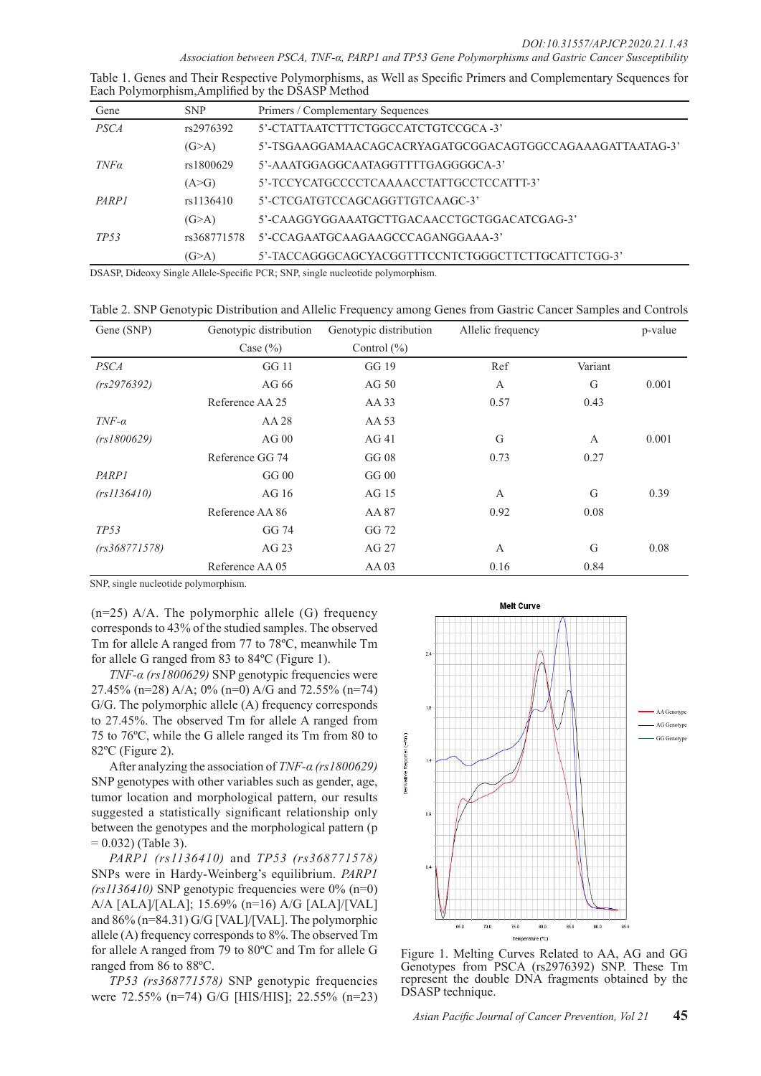| Table 1. Genes and Their Respective Polymorphisms, as Well as Specific Primers and Complementary Sequences for |  |  |
|----------------------------------------------------------------------------------------------------------------|--|--|
| Each Polymorphism, Amplified by the DSASP Method                                                               |  |  |

| Gene             | <b>SNP</b>  | Primers / Complementary Sequences                        |
|------------------|-------------|----------------------------------------------------------|
| <b>PSCA</b>      | rs2976392   | 5'-CTATTA ATCTTTCTGGCCATCTGTCCGCA -3'                    |
|                  | (G>A)       | 5'-TSGAAGGAMAACAGCACRYAGATGCGGACAGTGGCCAGAAAGATTAATAG-3' |
| $TNF\alpha$      | rs1800629   | 5'-AAATGGAGGCAATAGGTTTTGAGGGCA-3'                        |
|                  | (A>G)       | 5'-TCCYCATGCCCCTCAAAACCTATTGCCTCCATTT-3'                 |
| PARP1            | rs1136410   | 5'-CTCGATGTCCAGCAGGTTGTCAAGC-3'                          |
|                  | (G>A)       | 5'-CAAGGYGGAAATGCTTGACAACCTGCTGGACATCGAG-3'              |
| TP <sub>53</sub> | rs368771578 | 5'-CCAGAATGCAAGAAGCCCAGANGGAAA-3'                        |
|                  | (G>A)       | 5'-TACCAGGGCAGCYACGGTTTCCNTCTGGGCTTCTTGCATTCTGG-3'       |

DSASP, Dideoxy Single Allele-Specific PCR; SNP, single nucleotide polymorphism.

Table 2. SNP Genotypic Distribution and Allelic Frequency among Genes from Gastric Cancer Samples and Controls

| Gene (SNP)    | Genotypic distribution | Genotypic distribution | Allelic frequency |              | p-value |
|---------------|------------------------|------------------------|-------------------|--------------|---------|
|               | Case $(\% )$           | Control $(\% )$        |                   |              |         |
| <b>PSCA</b>   | GG 11                  | GG 19                  | Ref               | Variant      |         |
| (rs2976392)   | AG 66                  | AG 50                  | A                 | G            | 0.001   |
|               | Reference AA 25        | AA 33                  | 0.57              | 0.43         |         |
| $TNF-\alpha$  | AA 28                  | AA 53                  |                   |              |         |
| (rs1800629)   | $AG$ 00                | AG41                   | G                 | $\mathbf{A}$ | 0.001   |
|               | Reference GG 74        | GG 08                  | 0.73              | 0.27         |         |
| PARP1         | GG <sub>00</sub>       | GG00                   |                   |              |         |
| (rs1136410)   | AG 16                  | AG 15                  | A                 | G            | 0.39    |
|               | Reference AA 86        | AA 87                  | 0.92              | 0.08         |         |
| TP53          | GG 74                  | GG 72                  |                   |              |         |
| (rs368771578) | AG 23                  | AG 27                  | $\mathbf{A}$      | G            | 0.08    |
|               | Reference AA 05        | $AA$ 03                | 0.16              | 0.84         |         |

SNP, single nucleotide polymorphism.

 $(n=25)$  A/A. The polymorphic allele (G) frequency corresponds to 43% of the studied samples. The observed Tm for allele A ranged from 77 to 78ºC, meanwhile Tm for allele G ranged from 83 to 84ºC (Figure 1).

*TNF-α (rs1800629)* SNP genotypic frequencies were 27.45% (n=28) A/A; 0% (n=0) A/G and 72.55% (n=74) G/G. The polymorphic allele (A) frequency corresponds to 27.45%. The observed Tm for allele A ranged from 75 to 76ºC, while the G allele ranged its Tm from 80 to 82ºC (Figure 2).

After analyzing the association of *TNF-α (rs1800629)*  SNP genotypes with other variables such as gender, age, tumor location and morphological pattern, our results suggested a statistically significant relationship only between the genotypes and the morphological pattern (p  $= 0.032$ ) (Table 3).

*PARP1 (rs1136410)* and *TP53 (rs368771578)*  SNPs were in Hardy-Weinberg's equilibrium. *PARP1*   $(rs1136410)$  SNP genotypic frequencies were  $0\%$  (n=0) A/A [ALA]/[ALA]; 15.69% (n=16) A/G [ALA]/[VAL] and 86% (n=84.31) G/G [VAL]/[VAL]. The polymorphic allele (A) frequency corresponds to 8%. The observed Tm for allele A ranged from 79 to 80ºC and Tm for allele G ranged from 86 to 88ºC.

*TP53 (rs368771578)* SNP genotypic frequencies were 72.55% (n=74) G/G [HIS/HIS]; 22.55% (n=23)



Figure 1. Melting Curves Related to AA, AG and GG Genotypes from PSCA (rs2976392) SNP. These Tm represent the double DNA fragments obtained by the DSASP technique.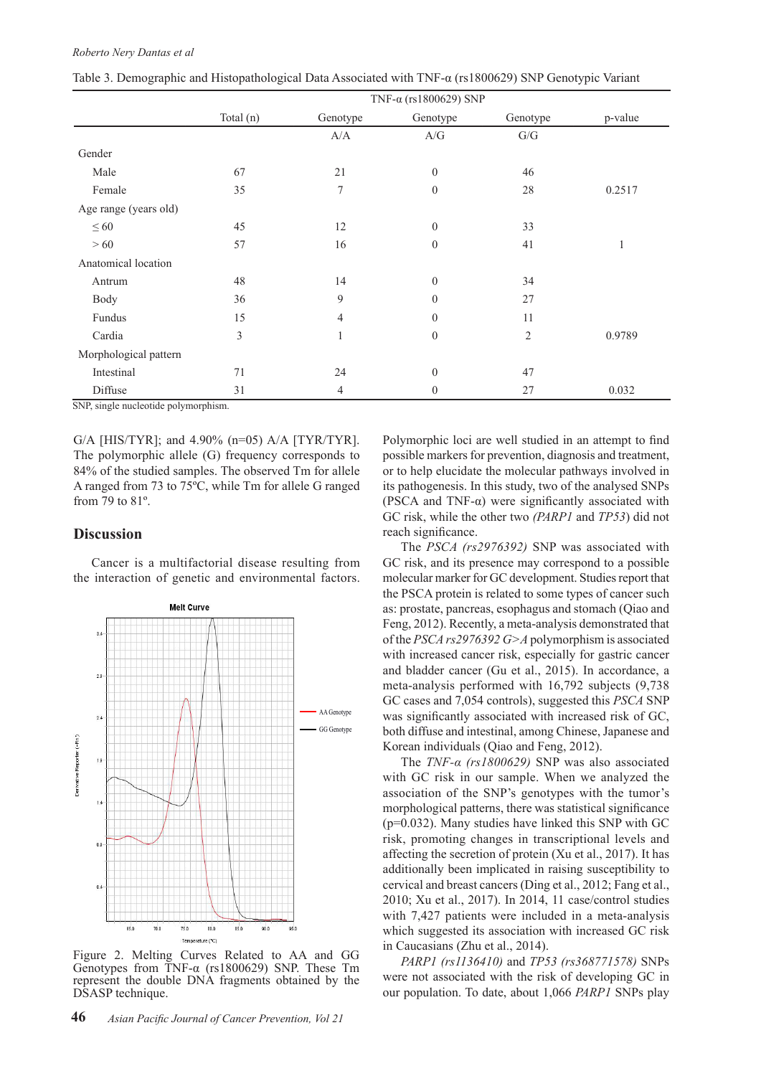|                       |           |                                                   | TNF-α (rs1800629) SNP                               |                           |         |
|-----------------------|-----------|---------------------------------------------------|-----------------------------------------------------|---------------------------|---------|
|                       | Total (n) | Genotype                                          | Genotype                                            | Genotype                  | p-value |
|                       |           | $\ensuremath{\mathrm{A}}/\ensuremath{\mathrm{A}}$ | $\ensuremath{\mathcal{A}}/\ensuremath{\mathcal{G}}$ | ${\mathrm G}/{\mathrm G}$ |         |
| Gender                |           |                                                   |                                                     |                           |         |
| Male                  | 67        | 21                                                | $\boldsymbol{0}$                                    | 46                        |         |
| Female                | 35        | 7                                                 | $\mathbf{0}$                                        | 28                        | 0.2517  |
| Age range (years old) |           |                                                   |                                                     |                           |         |
| $\leq 60$             | 45        | 12                                                | $\boldsymbol{0}$                                    | 33                        |         |
| >60                   | 57        | 16                                                | $\mathbf{0}$                                        | 41                        | 1       |
| Anatomical location   |           |                                                   |                                                     |                           |         |
| Antrum                | 48        | 14                                                | $\mathbf{0}$                                        | 34                        |         |
| Body                  | 36        | 9                                                 | $\theta$                                            | 27                        |         |
| Fundus                | 15        | $\overline{4}$                                    | $\mathbf{0}$                                        | 11                        |         |
| Cardia                | 3         | 1                                                 | $\mathbf{0}$                                        | $\overline{2}$            | 0.9789  |
| Morphological pattern |           |                                                   |                                                     |                           |         |
| Intestinal            | 71        | 24                                                | $\mathbf{0}$                                        | 47                        |         |
| Diffuse               | 31        | 4                                                 | $\theta$                                            | 27                        | 0.032   |

Table 3. Demographic and Histopathological Data Associated with TNF-α (rs1800629) SNP Genotypic Variant

SNP, single nucleotide polymorphism.

G/A [HIS/TYR]; and 4.90% (n=05) A/A [TYR/TYR]. The polymorphic allele (G) frequency corresponds to 84% of the studied samples. The observed Tm for allele A ranged from 73 to 75ºC, while Tm for allele G ranged from 79 to 81º.

#### **Discussion**

Cancer is a multifactorial disease resulting from the interaction of genetic and environmental factors.



Figure 2. Melting Curves Related to AA and GG Genotypes from TNF-α (rs1800629) SNP. These Tm represent the double DNA fragments obtained by the DSASP technique.

Polymorphic loci are well studied in an attempt to find possible markers for prevention, diagnosis and treatment, or to help elucidate the molecular pathways involved in its pathogenesis. In this study, two of the analysed SNPs (PSCA and TNF- $\alpha$ ) were significantly associated with GC risk, while the other two *(PARP1* and *TP53*) did not reach significance.

The *PSCA (rs2976392)* SNP was associated with GC risk, and its presence may correspond to a possible molecular marker for GC development. Studies report that the PSCA protein is related to some types of cancer such as: prostate, pancreas, esophagus and stomach (Qiao and Feng, 2012). Recently, a meta-analysis demonstrated that of the *PSCA rs2976392 G>A* polymorphism is associated with increased cancer risk, especially for gastric cancer and bladder cancer (Gu et al., 2015). In accordance, a meta-analysis performed with 16,792 subjects (9,738 GC cases and 7,054 controls), suggested this *PSCA* SNP was significantly associated with increased risk of GC, both diffuse and intestinal, among Chinese, Japanese and Korean individuals (Qiao and Feng, 2012).

The *TNF-α (rs1800629)* SNP was also associated with GC risk in our sample. When we analyzed the association of the SNP's genotypes with the tumor's morphological patterns, there was statistical significance (p=0.032). Many studies have linked this SNP with GC risk, promoting changes in transcriptional levels and affecting the secretion of protein (Xu et al., 2017). It has additionally been implicated in raising susceptibility to cervical and breast cancers (Ding et al., 2012; Fang et al., 2010; Xu et al., 2017). In 2014, 11 case/control studies with 7,427 patients were included in a meta-analysis which suggested its association with increased GC risk in Caucasians (Zhu et al., 2014).

*PARP1 (rs1136410)* and *TP53 (rs368771578)* SNPs were not associated with the risk of developing GC in our population. To date, about 1,066 *PARP1* SNPs play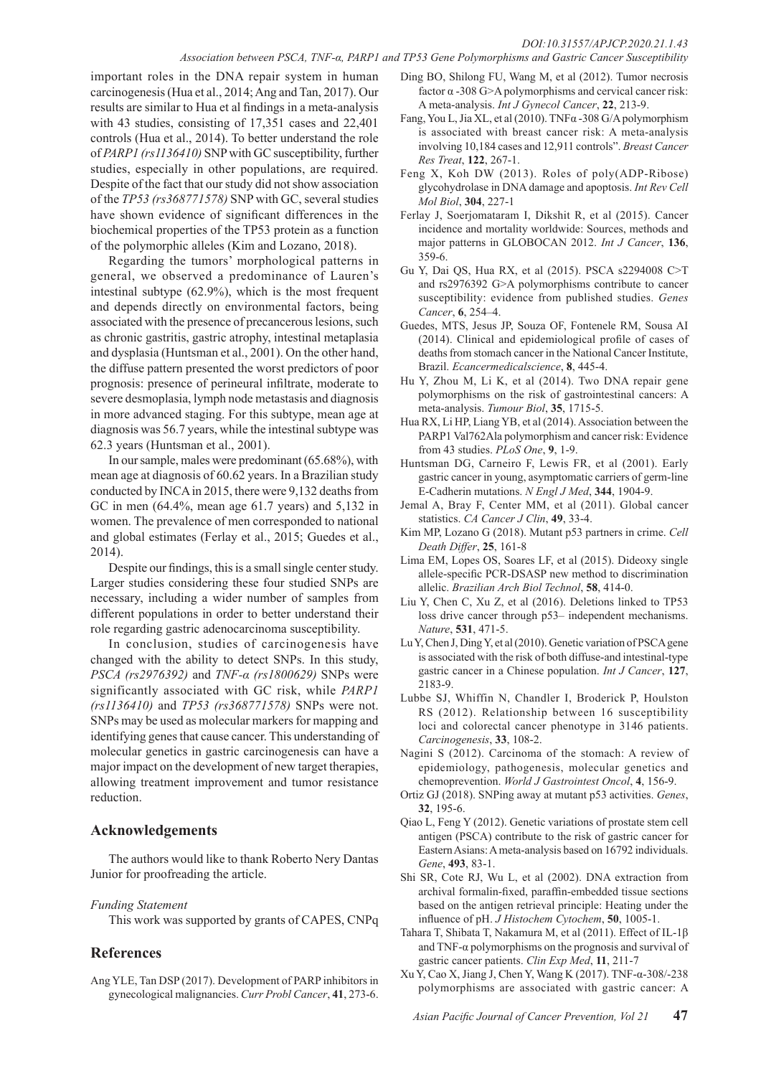important roles in the DNA repair system in human carcinogenesis (Hua et al., 2014; Ang and Tan, 2017). Our results are similar to Hua et al findings in a meta-analysis with 43 studies, consisting of 17,351 cases and 22,401 controls (Hua et al., 2014). To better understand the role of *PARP1 (rs1136410)* SNP with GC susceptibility, further studies, especially in other populations, are required. Despite of the fact that our study did not show association of the *TP53 (rs368771578)* SNP with GC, several studies have shown evidence of significant differences in the biochemical properties of the TP53 protein as a function of the polymorphic alleles (Kim and Lozano, 2018).

Regarding the tumors' morphological patterns in general, we observed a predominance of Lauren's intestinal subtype (62.9%), which is the most frequent and depends directly on environmental factors, being associated with the presence of precancerous lesions, such as chronic gastritis, gastric atrophy, intestinal metaplasia and dysplasia (Huntsman et al., 2001). On the other hand, the diffuse pattern presented the worst predictors of poor prognosis: presence of perineural infiltrate, moderate to severe desmoplasia, lymph node metastasis and diagnosis in more advanced staging. For this subtype, mean age at diagnosis was 56.7 years, while the intestinal subtype was 62.3 years (Huntsman et al., 2001).

In our sample, males were predominant (65.68%), with mean age at diagnosis of 60.62 years. In a Brazilian study conducted by INCA in 2015, there were 9,132 deaths from GC in men (64.4%, mean age 61.7 years) and 5,132 in women. The prevalence of men corresponded to national and global estimates (Ferlay et al., 2015; Guedes et al., 2014).

Despite our findings, this is a small single center study. Larger studies considering these four studied SNPs are necessary, including a wider number of samples from different populations in order to better understand their role regarding gastric adenocarcinoma susceptibility.

In conclusion, studies of carcinogenesis have changed with the ability to detect SNPs. In this study, *PSCA (rs2976392)* and *TNF-α (rs1800629)* SNPs were significantly associated with GC risk, while *PARP1 (rs1136410)* and *TP53 (rs368771578)* SNPs were not. SNPs may be used as molecular markers for mapping and identifying genes that cause cancer. This understanding of molecular genetics in gastric carcinogenesis can have a major impact on the development of new target therapies, allowing treatment improvement and tumor resistance reduction.

#### **Acknowledgements**

The authors would like to thank Roberto Nery Dantas Junior for proofreading the article.

#### *Funding Statement*

This work was supported by grants of CAPES, CNPq

### **References**

Ang YLE, Tan DSP (2017). Development of PARP inhibitors in gynecological malignancies. *Curr Probl Cancer*, **41**, 273-6.

- Ding BO, Shilong FU, Wang M, et al (2012). Tumor necrosis factor α -308 G>A polymorphisms and cervical cancer risk: A meta-analysis. *Int J Gynecol Cancer*, **22**, 213-9.
- Fang, You L, Jia XL, et al (2010). TNFα -308 G/A polymorphism is associated with breast cancer risk: A meta-analysis involving 10,184 cases and 12,911 controls". *Breast Cancer Res Treat*, **122**, 267-1.
- Feng X, Koh DW (2013). Roles of poly(ADP-Ribose) glycohydrolase in DNA damage and apoptosis. *Int Rev Cell Mol Biol*, **304**, 227-1
- Ferlay J, Soerjomataram I, Dikshit R, et al (2015). Cancer incidence and mortality worldwide: Sources, methods and major patterns in GLOBOCAN 2012. *Int J Cancer*, **136**, 359-6.
- Gu Y, Dai QS, Hua RX, et al (2015). PSCA s2294008 C>T and rs2976392 G>A polymorphisms contribute to cancer susceptibility: evidence from published studies. *Genes Cancer*, **6**, 254–4.
- Guedes, MTS, Jesus JP, Souza OF, Fontenele RM, Sousa AI (2014). Clinical and epidemiological profile of cases of deaths from stomach cancer in the National Cancer Institute, Brazil. *Ecancermedicalscience*, **8**, 445-4.
- Hu Y, Zhou M, Li K, et al (2014). Two DNA repair gene polymorphisms on the risk of gastrointestinal cancers: A meta-analysis. *Tumour Biol*, **35**, 1715-5.
- Hua RX, Li HP, Liang YB, et al (2014). Association between the PARP1 Val762Ala polymorphism and cancer risk: Evidence from 43 studies. *PLoS One*, **9**, 1-9.
- Huntsman DG, Carneiro F, Lewis FR, et al (2001). Early gastric cancer in young, asymptomatic carriers of germ-line E-Cadherin mutations. *N Engl J Med*, **344**, 1904-9.
- Jemal A, Bray F, Center MM, et al (2011). Global cancer statistics. *CA Cancer J Clin*, **49**, 33-4.
- Kim MP, Lozano G (2018). Mutant p53 partners in crime. *Cell Death Differ*, **25**, 161-8
- Lima EM, Lopes OS, Soares LF, et al (2015). Dideoxy single allele-specific PCR-DSASP new method to discrimination allelic. *Brazilian Arch Biol Technol*, **58**, 414-0.
- Liu Y, Chen C, Xu Z, et al (2016). Deletions linked to TP53 loss drive cancer through p53– independent mechanisms. *Nature*, **531**, 471-5.
- Lu Y, Chen J, Ding Y, et al (2010). Genetic variation of PSCA gene is associated with the risk of both diffuse-and intestinal-type gastric cancer in a Chinese population. *Int J Cancer*, **127**, 2183-9.
- Lubbe SJ, Whiffin N, Chandler I, Broderick P, Houlston RS (2012). Relationship between 16 susceptibility loci and colorectal cancer phenotype in 3146 patients. *Carcinogenesis*, **33**, 108-2.
- Nagini S (2012). Carcinoma of the stomach: A review of epidemiology, pathogenesis, molecular genetics and chemoprevention. *World J Gastrointest Oncol*, **4**, 156-9.
- Ortiz GJ (2018). SNPing away at mutant p53 activities. *Genes*, **32**, 195-6.
- Qiao L, Feng Y (2012). Genetic variations of prostate stem cell antigen (PSCA) contribute to the risk of gastric cancer for Eastern Asians: A meta-analysis based on 16792 individuals. *Gene*, **493**, 83-1.
- Shi SR, Cote RJ, Wu L, et al (2002). DNA extraction from archival formalin-fixed, paraffin-embedded tissue sections based on the antigen retrieval principle: Heating under the influence of pH. *J Histochem Cytochem*, **50**, 1005-1.
- Tahara T, Shibata T, Nakamura M, et al (2011). Effect of IL-1β and TNF-α polymorphisms on the prognosis and survival of gastric cancer patients. *Clin Exp Med*, **11**, 211-7
- Xu Y, Cao X, Jiang J, Chen Y, Wang K (2017). TNF-α-308/-238 polymorphisms are associated with gastric cancer: A